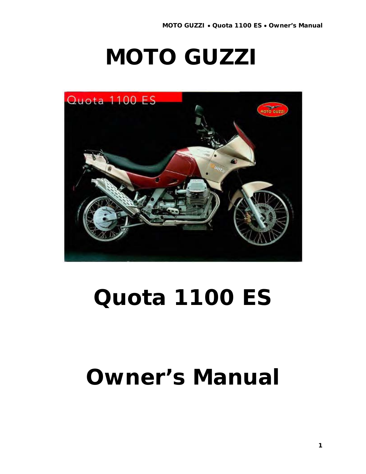# **MOTO GUZZI**



# **Quota 1100 ES**

# **Owner's Manual**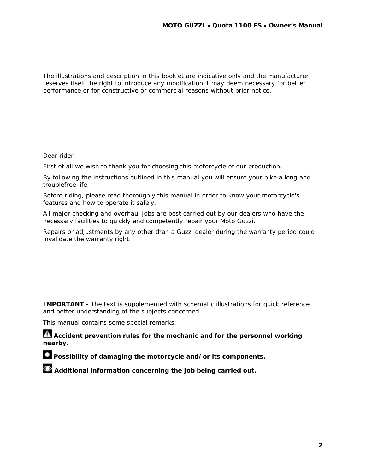The illustrations and description in this booklet are indicative only and the manufacturer reserves itself the right to introduce any modification it may deem necessary for better performance or for constructive or commercial reasons without prior notice.

Dear rider

First of all we wish to thank you for choosing this motorcycle of our production.

By following the instructions outlined in this manual you will ensure your bike a long and troublefree life.

Before riding, please read thoroughly this manual in order to know your motorcycle's features and how to operate it safely.

All major checking and overhaul jobs are best carried out by our dealers who have the necessary facilities to quickly and competently repair your Moto Guzzi.

Repairs or adjustments by any other than a Guzzi dealer during the warranty period could invalidate the warranty right.

**IMPORTANT** - The text is supplemented with schematic illustrations for quick reference and better understanding of the subjects concerned.

This manual contains some special remarks:

 **Accident prevention rules for the mechanic and for the personnel working nearby.** 

 $\blacksquare$  Possibility of damaging the motorcycle and/or its components.

 **Additional information concerning the job being carried out.**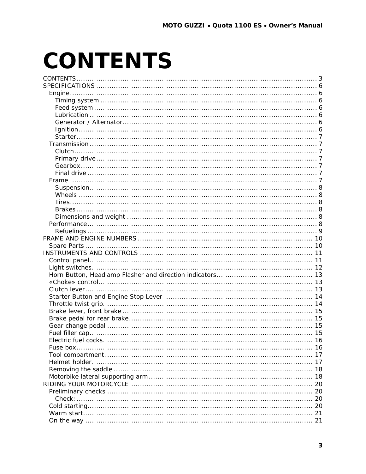# <span id="page-2-0"></span>**CONTENTS**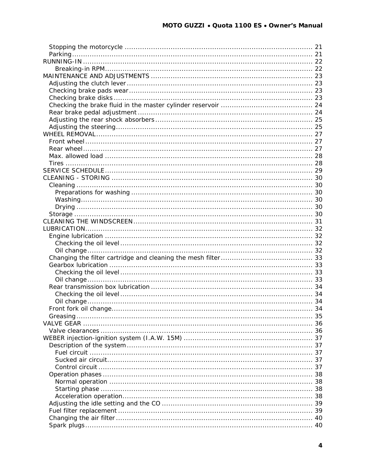| 38 |
|----|
| 38 |
| 39 |
| 39 |
| 40 |
|    |
|    |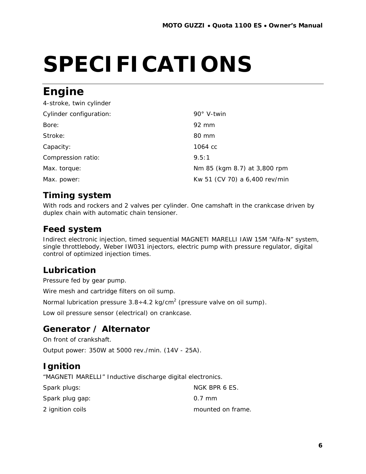# <span id="page-5-0"></span>**SPECIFICATIONS**

## **Engine**

4-stroke, twin cylinder

| 4-Stroke, twin cylinger |                               |
|-------------------------|-------------------------------|
| Cylinder configuration: | $90^\circ$ V-twin             |
| Bore:                   | 92 mm                         |
| Stroke:                 | 80 mm                         |
| Capacity:               | 1064 cc                       |
| Compression ratio:      | 9.5:1                         |
| Max. torque:            | Nm 85 (kgm 8.7) at 3,800 rpm  |
| Max. power:             | Kw 51 (CV 70) a 6,400 rev/min |

## **Timing system**

With rods and rockers and 2 valves per cylinder. One camshaft in the crankcase driven by duplex chain with automatic chain tensioner.

### **Feed system**

Indirect electronic injection, timed sequential MAGNETI MARELLI IAW 15M "Alfa-N" system, single throttlebody, Weber IW031 injectors, electric pump with pressure regulator, digital control of optimized injection times.

### **Lubrication**

Pressure fed by gear pump.

Wire mesh and cartridge filters on oil sump.

Normal lubrication pressure  $3.8 + 4.2$  kg/cm<sup>2</sup> (pressure valve on oil sump).

Low oil pressure sensor (electrical) on crankcase.

### **Generator / Alternator**

On front of crankshaft.

Output power: 350W at 5000 rev./min. (14V - 25A).

### **Ignition**

"MAGNETI MARELLI" Inductive discharge digital electronics.

| Spark plugs:     | NGK BPR 6 ES.      |
|------------------|--------------------|
| Spark plug gap:  | $0.7 \, \text{mm}$ |
| 2 ignition coils | mounted on frame.  |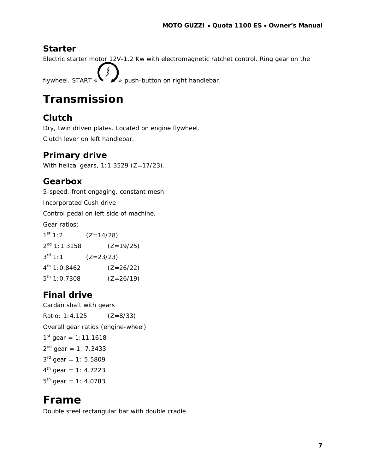## <span id="page-6-0"></span>**Starter**

Electric starter motor 12V-1.2 Kw with electromagnetic ratchet control. Ring gear on the

flywheel. START  $\langle \cdot \rangle$   $\rightarrow$  push-button on right handlebar.

# **Transmission**

## **Clutch**

Dry, twin driven plates. Located on engine flywheel. Clutch lever on left handlebar.

## **Primary drive**

With helical gears, 1:1.3529 (Z=17/23).

## **Gearbox**

5-speed, front engaging, constant mesh.

Incorporated Cush drive

Control pedal on left side of machine.

Gear ratios:

| $1^{st}$ 1:2      | $(Z=14/28)$ |
|-------------------|-------------|
| $2^{nd}$ 1:1.3158 | $(Z=19/25)$ |
| $3^{rd}$ 1:1      | $(Z=23/23)$ |
| $4^{th}$ 1:0.8462 | $(Z=26/22)$ |
| $5^{th}$ 1:0.7308 | $(Z=26/19)$ |

## **Final drive**

Cardan shaft with gears Ratio: 1:4.125 (Z=8/33) Overall gear ratios (engine-wheel)  $1<sup>st</sup>$  gear = 1:11.1618  $2^{nd}$  gear = 1: 7.3433  $3<sup>rd</sup>$  gear = 1: 5.5809  $4^{th}$  gear = 1: 4.7223  $5<sup>th</sup>$  gear = 1: 4.0783

## **Frame**

Double steel rectangular bar with double cradle.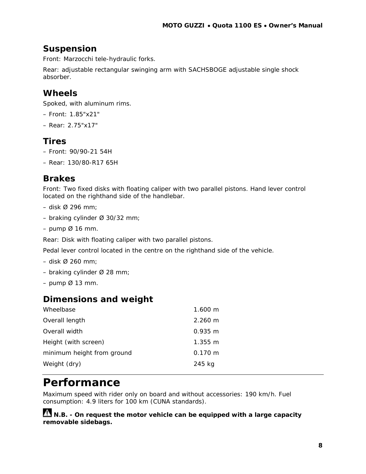## <span id="page-7-0"></span>**Suspension**

Front: Marzocchi tele-hydraulic forks.

Rear: adjustable rectangular swinging arm with SACHSBOGE adjustable single shock absorber.

## **Wheels**

Spoked, with aluminum rims.

- Front: 1.85"x21"
- Rear: 2.75"x17"

### **Tires**

- Front: 90/90-21 54H
- Rear: 130/80-R17 65H

### **Brakes**

Front: Two fixed disks with floating caliper with two parallel pistons. Hand lever control located on the righthand side of the handlebar.

- disk Ø 296 mm;
- braking cylinder Ø 30/32 mm;
- pump  $\varnothing$  16 mm.

Rear: Disk with floating caliper with two parallel pistons.

Pedal lever control located in the centre on the righthand side of the vehicle.

- disk Ø 260 mm;
- $-$  braking cylinder  $\varnothing$  28 mm;
- pump  $Ø$  13 mm.

### **Dimensions and weight**

| Wheelbase                  | $1.600 \; m$      |
|----------------------------|-------------------|
| Overall length             | $2.260 \text{ m}$ |
| Overall width              | $0.935 \; m$      |
| Height (with screen)       | 1.355 m           |
| minimum height from ground | $0.170 \; m$      |
| Weight (dry)               | 245 kg            |
|                            |                   |

## **Performance**

Maximum speed with rider only on board and without accessories: 190 km/h. Fuel consumption: 4.9 liters for 100 km (CUNA standards).

**N.B. - On request the motor vehicle can be equipped with a large capacity removable sidebags.**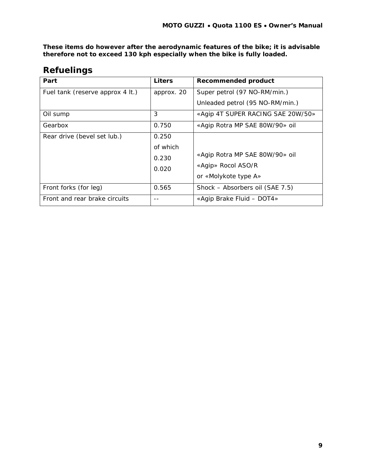<span id="page-8-0"></span>**These items do however after the aerodynamic features of the bike; it is advisable therefore not to exceed 130 kph especially when the bike is fully loaded.** 

## **Refuelings**

| Part                             | <b>Liters</b> | <b>Recommended product</b>        |
|----------------------------------|---------------|-----------------------------------|
| Fuel tank (reserve approx 4 lt.) | approx. 20    | Super petrol (97 NO-RM/min.)      |
|                                  |               | Unleaded petrol (95 NO-RM/min.)   |
| Oil sump                         | 3             | «Agip 4T SUPER RACING SAE 20W/50» |
| Gearbox                          | 0.750         | «Agip Rotra MP SAE 80W/90» oil    |
| Rear drive (bevel set lub.)      | 0.250         |                                   |
|                                  | of which      |                                   |
|                                  | 0.230         | «Agip Rotra MP SAE 80W/90» oil    |
|                                  | 0.020         | «Agip» Rocol ASO/R                |
|                                  |               | or «Molykote type A»              |
| Front forks (for leg)            | 0.565         | Shock – Absorbers oil (SAE 7.5)   |
| Front and rear brake circuits    |               | «Agip Brake Fluid - DOT4»         |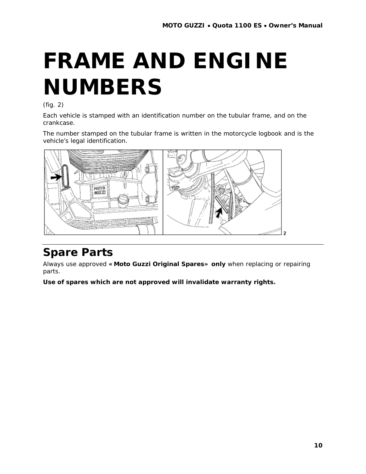# <span id="page-9-0"></span>**FRAME AND ENGINE NUMBERS**

(fig. 2)

Each vehicle is stamped with an identification number on the tubular frame, and on the crankcase.

The number stamped on the tubular frame is written in the motorcycle logbook and is the vehicle's legal identification.



## **Spare Parts**

Always use approved **«Moto Guzzi Original Spares» only** when replacing or repairing parts.

**Use of spares which are not approved will invalidate warranty rights.**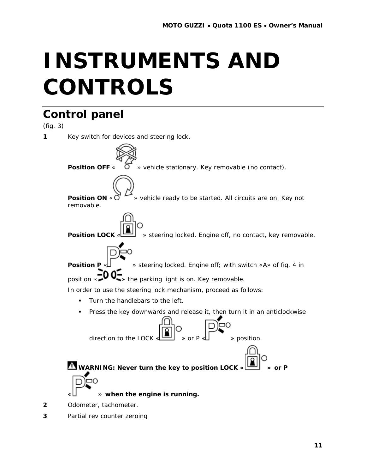# <span id="page-10-0"></span>**INSTRUMENTS AND CONTROLS**

# **Control panel**

(fig. 3)

**1** Key switch for devices and steering lock.



**3** Partial rev counter zeroing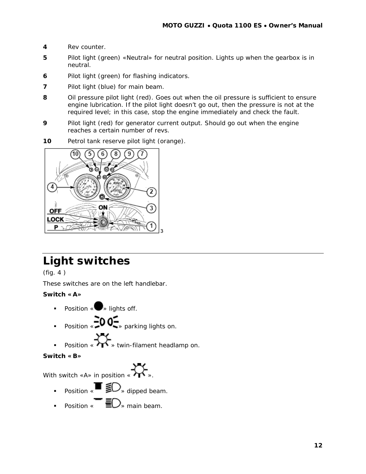- <span id="page-11-0"></span>**4** Rev counter.
- **5** Pilot light (green) «Neutral» for neutral position. Lights up when the gearbox is in neutral.
- **6** Pilot light (green) for flashing indicators.
- **7** Pilot light (blue) for main beam.
- **8** Oil pressure pilot light (red). Goes out when the oil pressure is sufficient to ensure engine lubrication. If the pilot light doesn't go out, then the pressure is not at the required level; in this case, stop the engine immediately and check the fault.
- **9** Pilot light (red) for generator current output. Should go out when the engine reaches a certain number of revs.
- **10** Petrol tank reserve pilot light (orange).



## **Light switches**

(fig. 4 )

These switches are on the left handlebar.

#### **Switch «A»**

- **•** Position  $\mathbf{E} \bullet \mathbf{E}$  lights off.
- Position  $\sum_{k=1}^{\infty} 0.0$   $\sum_{k=1}^{\infty}$  parking lights on.
- Position « » twin-filament headlamp on.
- 

#### **Switch «B»**

With switch «A» in position « $\mathbf{W}$ ».

- Position  $\blacksquare$   $\blacksquare$   $\blacksquare$   $\blacksquare$   $\blacksquare$   $\blacksquare$   $\blacksquare$   $\blacksquare$
- $\overline{\mathbf{E}}$  Position  $\overline{\mathbf{E}}$   $\overline{\mathbf{D}}$  main beam.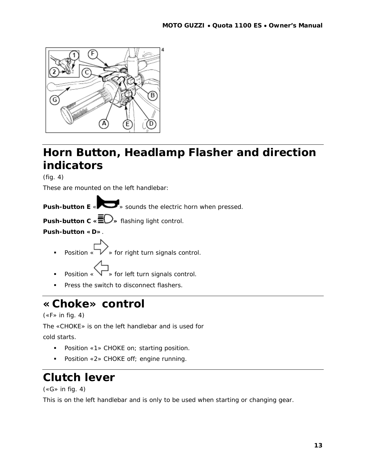<span id="page-12-0"></span>

# **Horn Button, Headlamp Flasher and direction indicators**

(fig. 4)

These are mounted on the left handlebar:

**Push-button E** «  $\bullet$  sounds the electric horn when pressed.

**Push-button C «** $\Xi$ **O**» flashing light control.

#### **Push-button «D»**.

- Position «  $\triangledown$  » for right turn signals control.
- Position  $\sqrt{\phantom{a}}\$  for left turn signals control.
- Press the switch to disconnect flashers.

## **«Choke» control**

 $(*F\ast in fig. 4)$ 

The «CHOKE» is on the left handlebar and is used for

cold starts.

- **Position «1» CHOKE on; starting position.**
- Position «2» CHOKE off; engine running.

# **Clutch lever**

(«G» in fig. 4)

This is on the left handlebar and is only to be used when starting or changing gear.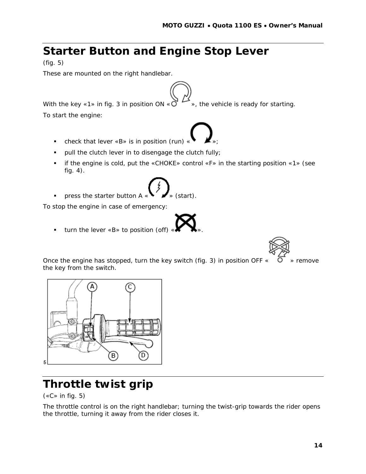## <span id="page-13-0"></span>**Starter Button and Engine Stop Lever**

(fig. 5)

These are mounted on the right handlebar.

With the key «1» in fig. 3 in position ON « $\overrightarrow{O}$   $\rightarrow$  », the vehicle is ready for starting. To start the engine:

- check that lever «B» is in position (run) «
- **pull the clutch lever in to disengage the clutch fully;**
- if the engine is cold, put the «CHOKE» control «F» in the starting position «1» (see fig. 4).
- **press the starter button A**  $\mathbf{A} \times \mathbf{V}$   $\mathbf{V}$  (start).

To stop the engine in case of emergency:

turn the lever «B» to position (off) «

Once the engine has stopped, turn the key switch (fig. 3) in position OFF  $\leftarrow \overline{O}$   $\rightarrow$  remove the key from the switch.



## **Throttle twist grip**

#### («C» in fig. 5)

The throttle control is on the right handlebar; turning the twist-grip towards the rider opens the throttle, turning it away from the rider closes it.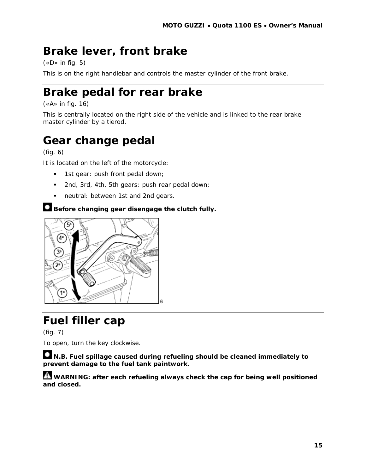## <span id="page-14-0"></span>**Brake lever, front brake**

 $(xD\$ in fig. 5)

This is on the right handlebar and controls the master cylinder of the front brake.

## **Brake pedal for rear brake**

 $(*A\ast in fig. 16)$ 

This is centrally located on the right side of the vehicle and is linked to the rear brake master cylinder by a tierod.

# **Gear change pedal**

(fig. 6)

It is located on the left of the motorcycle:

- 1st gear: push front pedal down;
- **2nd, 3rd, 4th, 5th gears: push rear pedal down;**
- **neutral: between 1st and 2nd gears.**

## **Before changing gear disengage the clutch fully.**



## **Fuel filler cap**

(fig. 7)

To open, turn the key clockwise.

 **N.B. Fuel spillage caused during refueling should be cleaned immediately to prevent damage to the fuel tank paintwork.**

 **WARNING: after each refueling always check the cap for being well positioned and closed.**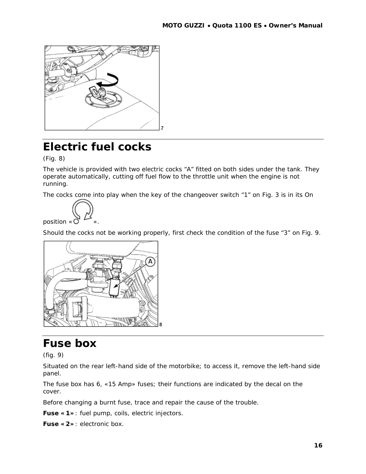<span id="page-15-0"></span>

# **Electric fuel cocks**

(Fig. 8)

The vehicle is provided with two electric cocks "A" fitted on both sides under the tank. They operate automatically, cutting off fuel flow to the throttle unit when the engine is not running.

The cocks come into play when the key of the changeover switch "1" on Fig. 3 is in its On



Should the cocks not be working properly, first check the condition of the fuse "3" on Fig. 9.



## **Fuse box**

(fig. 9)

Situated on the rear left-hand side of the motorbike; to access it, remove the left-hand side panel.

The fuse box has 6, «15 Amp» fuses; their functions are indicated by the decal on the cover.

Before changing a burnt fuse, trace and repair the cause of the trouble.

**Fuse «1»**: fuel pump, coils, electric injectors.

**Fuse «2»**: electronic box.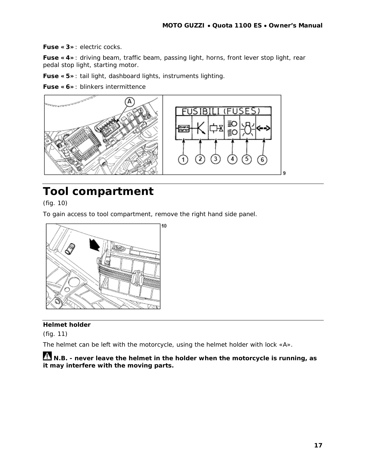<span id="page-16-0"></span>**Fuse «3»**: electric cocks.

**Fuse «4»**: driving beam, traffic beam, passing light, horns, front lever stop light, rear pedal stop light, starting motor.

**Fuse «5»**: tail light, dashboard lights, instruments lighting.

**Fuse «6»**: blinkers intermittence



## **Tool compartment**

(fig. 10)

To gain access to tool compartment, remove the right hand side panel.



#### **Helmet holder**

(fig. 11)

The helmet can be left with the motorcycle, using the helmet holder with lock «A».

**N.B. - never leave the helmet in the holder when the motorcycle is running, as it may interfere with the moving parts.**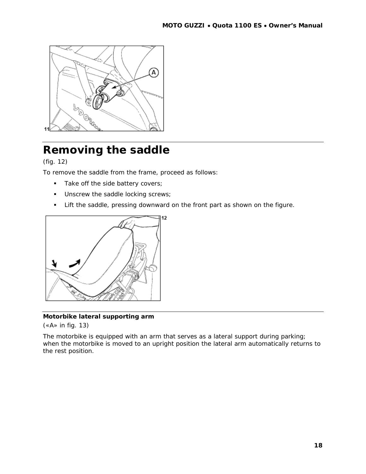<span id="page-17-0"></span>

## **Removing the saddle**

(fig. 12)

To remove the saddle from the frame, proceed as follows:

- Take off the side battery covers;
- **Unscrew the saddle locking screws;**
- **EXTE:** Lift the saddle, pressing downward on the front part as shown on the figure.



#### **Motorbike lateral supporting arm**

(«A» in fig. 13)

The motorbike is equipped with an arm that serves as a lateral support during parking; when the motorbike is moved to an upright position the lateral arm automatically returns to the rest position.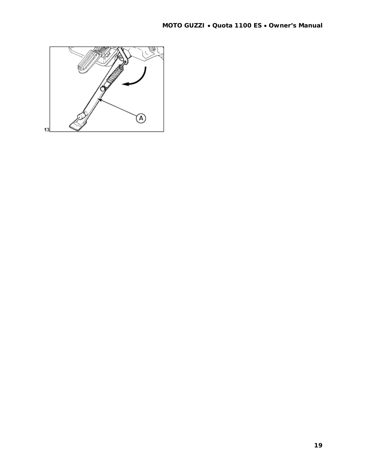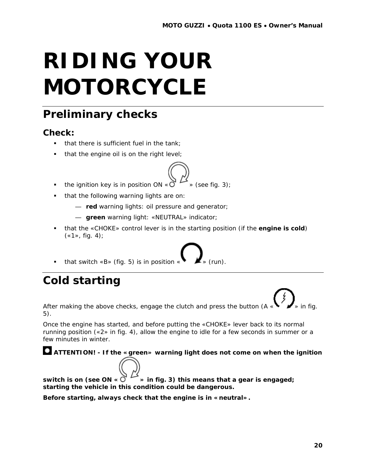# <span id="page-19-0"></span>**RIDING YOUR MOTORCYCLE**

## **Preliminary checks**

## **Check:**

- $\blacksquare$  that there is sufficient fuel in the tank;
- that the engine oil is on the right level;
- the ignition key is in position ON  $\ll \sigma$   $\sim$   $\ll$  (see fig. 3);
- that the following warning lights are on:
	- **red** warning lights: oil pressure and generator;
	- **green** warning light: «NEUTRAL» indicator;
- that the «CHOKE» control lever is in the starting position (if the **engine is cold**)  $(*1*, fig. 4);$
- **that switch «B» (fig. 5) is in position «**

## **Cold starting**

After making the above checks, engage the clutch and press the button (A  $\ast$ 5).

Once the engine has started, and before putting the «CHOKE» lever back to its normal running position («2» in fig. 4), allow the engine to idle for a few seconds in summer or a few minutes in winter.

**ATTENTION! - If the «green» warning light does not come on when the ignition** 

switch is on (see ON «  $\circ$   $\sim$  » in fig. 3) this means that a gear is engaged; **starting the vehicle in this condition could be dangerous.** 

**Before starting, always check that the engine is in «neutral».**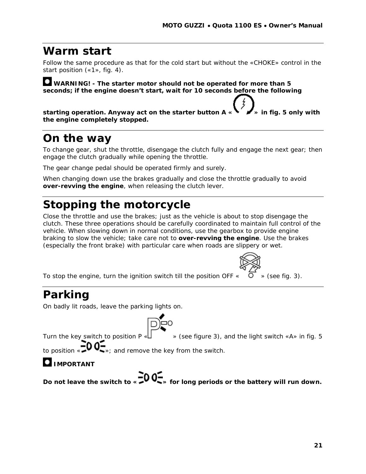## <span id="page-20-0"></span>**Warm start**

Follow the same procedure as that for the cold start but without the «CHOKE» control in the start position («1», fig. 4).

 **WARNING! - The starter motor should not be operated for more than 5 seconds; if the engine doesn't start, wait for 10 seconds before the following** 

#### **starting operation. Anyway act on the starter button A « » in fig. 5 only with the engine completely stopped.**

## **On the way**

To change gear, shut the throttle, disengage the clutch fully and engage the next gear; then engage the clutch gradually while opening the throttle.

The gear change pedal should be operated firmly and surely.

When changing down use the brakes gradually and close the throttle gradually to avoid **over-revving the engine**, when releasing the clutch lever.

# **Stopping the motorcycle**

Close the throttle and use the brakes; just as the vehicle is about to stop disengage the clutch. These three operations should be carefully coordinated to maintain full control of the vehicle. When slowing down in normal conditions, use the gearbox to provide engine braking to slow the vehicle; take care not to **over-revving the engine**. Use the brakes (especially the front brake) with particular care when roads are slippery or wet.



To stop the engine, turn the ignition switch till the position OFF  $\ll \mathsf{O} \gg$  (see fig. 3).

## **Parking**

On badly lit roads, leave the parking lights on.

Turn the key switch to position P  $\|$   $\|$   $\|$   $\|$   $\$  (see figure 3), and the light switch  $\|$ A  $\|$  in fig. 5

to position  $\mathbf{C} \mathbf{V} \mathbf{C}_{\mathbf{r}}$  and remove the key from the switch.

 **IMPORTANT** 

**Do not leave the switch to « » for long periods or the battery will run down.**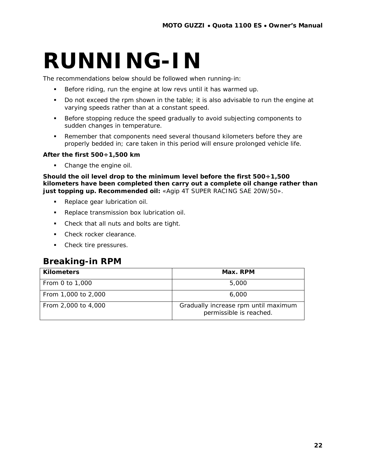# <span id="page-21-0"></span>**RUNNING-IN**

The recommendations below should be followed when running-in:

- Before riding, run the engine at low revs until it has warmed up.
- Do not exceed the rpm shown in the table; it is also advisable to run the engine at varying speeds rather than at a constant speed.
- **Before stopping reduce the speed gradually to avoid subjecting components to** sudden changes in temperature.
- Remember that components need several thousand kilometers before they are properly bedded in; care taken in this period will ensure prolonged vehicle life.

#### **After the first 500÷1,500 km**

• Change the engine oil.

**Should the oil level drop to the minimum level before the first 500÷1,500 kilometers have been completed then carry out a complete oil change rather than just topping up. Recommended oil:** «Agip 4T SUPER RACING SAE 20W/50».

- Replace gear lubrication oil.
- Replace transmission box lubrication oil.
- Check that all nuts and bolts are tight.
- Check rocker clearance.
- Check tire pressures.

### **Breaking-in RPM**

| <b>Kilometers</b>   | Max. RPM                                                        |
|---------------------|-----------------------------------------------------------------|
| From 0 to 1,000     | 5,000                                                           |
| From 1,000 to 2,000 | 6.000                                                           |
| From 2,000 to 4,000 | Gradually increase rpm until maximum<br>permissible is reached. |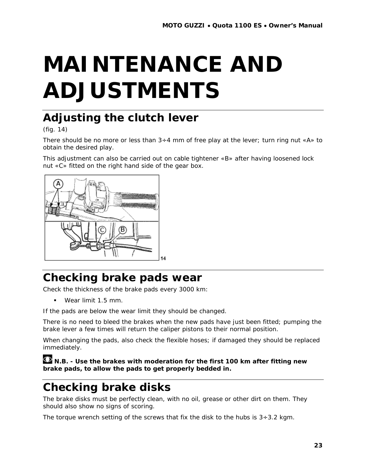# <span id="page-22-0"></span>**MAINTENANCE AND ADJUSTMENTS**

# **Adjusting the clutch lever**

(fig. 14)

There should be no more or less than  $3 \div 4$  mm of free play at the lever; turn ring nut «A» to obtain the desired play.

This adjustment can also be carried out on cable tightener «B» after having loosened lock nut «C» fitted on the right hand side of the gear box.



# **Checking brake pads wear**

Check the thickness of the brake pads every 3000 km:

Wear limit 1.5 mm.

If the pads are below the wear limit they should be changed.

There is no need to bleed the brakes when the new pads have just been fitted; pumping the brake lever a few times will return the caliper pistons to their normal position.

When changing the pads, also check the flexible hoses; if damaged they should be replaced immediately.

 **N.B. - Use the brakes with moderation for the first 100 km after fitting new brake pads, to allow the pads to get properly bedded in.** 

## **Checking brake disks**

The brake disks must be perfectly clean, with no oil, grease or other dirt on them. They should also show no signs of scoring.

The torque wrench setting of the screws that fix the disk to the hubs is  $3 \div 3.2$  kgm.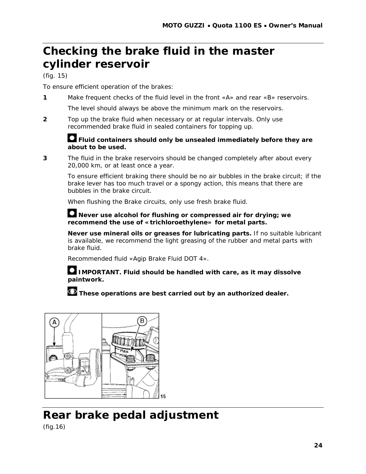## <span id="page-23-0"></span>**Checking the brake fluid in the master cylinder reservoir**

(fig. 15)

To ensure efficient operation of the brakes:

**1** Make frequent checks of the fluid level in the front «A» and rear «B» reservoirs.

The level should always be above the minimum mark on the reservoirs.

**2** Top up the brake fluid when necessary or at regular intervals. Only use recommended brake fluid in sealed containers for topping up.

#### **Fluid containers should only be unsealed immediately before they are about to be used.**

**3** The fluid in the brake reservoirs should be changed completely after about every 20,000 km, or at least once a year.

To ensure efficient braking there should be no air bubbles in the brake circuit; if the brake lever has too much travel or a spongy action, this means that there are bubbles in the brake circuit.

When flushing the Brake circuits, only use fresh brake fluid.

 **Never use alcohol for flushing or compressed air for drying; we recommend the use of «trichloroethylene» for metal parts.** 

**Never use mineral oils or greases for lubricating parts.** If no suitable lubricant is available, we recommend the light greasing of the rubber and metal parts with brake fluid.

Recommended fluid «Agip Brake Fluid DOT 4».

 **IMPORTANT. Fluid should be handled with care, as it may dissolve paintwork.**

 **These operations are best carried out by an authorized dealer.** 



# **Rear brake pedal adjustment**

(fig.16)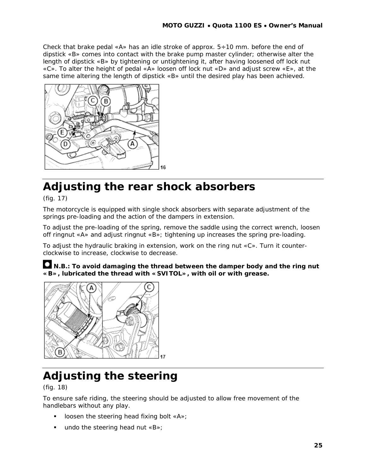<span id="page-24-0"></span>Check that brake pedal  $\angle A$ » has an idle stroke of approx.  $5 \div 10$  mm. before the end of dipstick «B» comes into contact with the brake pump master cylinder; otherwise alter the length of dipstick «B» by tightening or untightening it, after having loosened off lock nut «C». To alter the height of pedal «A» loosen off lock nut «D» and adjust screw «E», at the same time altering the length of dipstick «B» until the desired play has been achieved.



# **Adjusting the rear shock absorbers**

(fig. 17)

The motorcycle is equipped with single shock absorbers with separate adjustment of the springs pre-loading and the action of the dampers in extension.

To adjust the pre-loading of the spring, remove the saddle using the correct wrench, loosen off ringnut «A» and adjust ringnut «B»; tightening up increases the spring pre-loading.

To adjust the hydraulic braking in extension, work on the ring nut «C». Turn it counterclockwise to increase, clockwise to decrease.

 **N.B.: To avoid damaging the thread between the damper body and the ring nut «B», lubricated the thread with «SVITOL», with oil or with grease.**



# **Adjusting the steering**

(fig. 18)

To ensure safe riding, the steering should be adjusted to allow free movement of the handlebars without any play.

- loosen the steering head fixing bolt «A»;
- $\blacksquare$  undo the steering head nut «B»;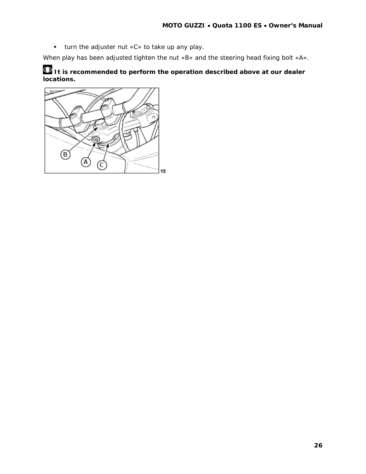■ turn the adjuster nut «C» to take up any play.

When play has been adjusted tighten the nut «B» and the steering head fixing bolt «A».

#### $\Omega$  It is recommended to perform the operation described above at our dealer **locations.**

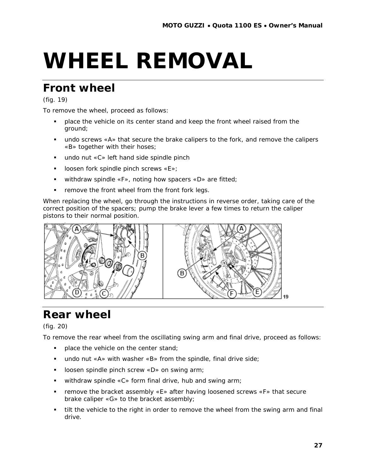# <span id="page-26-0"></span>**WHEEL REMOVAL**

## **Front wheel**

#### (fig. 19)

To remove the wheel, proceed as follows:

- place the vehicle on its center stand and keep the front wheel raised from the ground;
- undo screws «A» that secure the brake calipers to the fork, and remove the calipers «B» together with their hoses;
- undo nut «C» left hand side spindle pinch
- $\blacksquare$  loosen fork spindle pinch screws «E»;
- withdraw spindle «F», noting how spacers «D» are fitted;
- **•** remove the front wheel from the front fork legs.

When replacing the wheel, go through the instructions in reverse order, taking care of the correct position of the spacers; pump the brake lever a few times to return the caliper pistons to their normal position.



## **Rear wheel**

#### (fig. 20)

To remove the rear wheel from the oscillating swing arm and final drive, proceed as follows:

- **place the vehicle on the center stand;**
- undo nut «A» with washer «B» from the spindle, final drive side;
- loosen spindle pinch screw «D» on swing arm;
- withdraw spindle «C» form final drive, hub and swing arm;
- remove the bracket assembly «E» after having loosened screws «F» that secure brake caliper «G» to the bracket assembly;
- **tillect the vehicle to the right in order to remove the wheel from the swing arm and final** drive.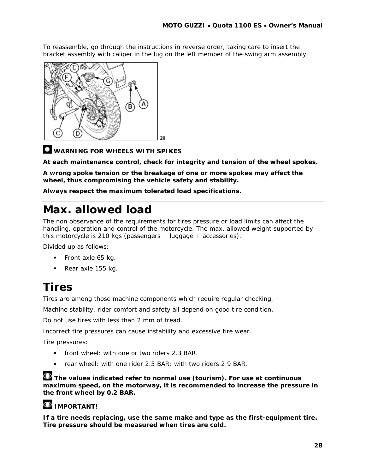<span id="page-27-0"></span>To reassemble, go through the instructions in reverse order, taking care to insert the bracket assembly with caliper in the lug on the left member of the swing arm assembly.



#### **WARNING FOR WHEELS WITH SPIKES**

**At each maintenance control, check for integrity and tension of the wheel spokes.** 

**A wrong spoke tension or the breakage of one or more spokes may affect the wheel, thus compromising the vehicle safety and stability.** 

**Always respect the maximum tolerated load specifications.** 

## **Max. allowed load**

The non observance of the requirements for tires pressure or load limits can affect the handling, operation and control of the motorcycle. The max. allowed weight supported by this motorcycle is 210 kgs (passengers + luggage + accessories).

Divided up as follows:

- Front axle 65 kg.
- Rear axle 155 kg.

## **Tires**

Tires are among those machine components which require regular checking.

Machine stability, rider comfort and safety all depend on good tire condition.

Do not use tires with less than 2 mm of tread.

Incorrect tire pressures can cause instability and excessive tire wear.

Tire pressures:

- **front wheel: with one or two riders 2.3 BAR.**
- **Fig. 2.4 Fear wheel: with one rider 2.5 BAR; with two riders 2.9 BAR.**

**The values indicated refer to normal use (tourism). For use at continuous maximum speed, on the motorway, it is recommended to increase the pressure in the front wheel by 0.2 BAR.** 

## **IMPORTANT!**

**If a tire needs replacing, use the same make and type as the first-equipment tire. Tire pressure should be measured when tires are cold.**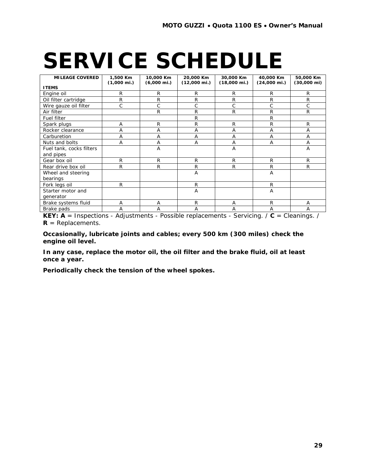# <span id="page-28-0"></span>**SERVICE SCHEDULE**

| <b>MILEAGE COVERED</b>   | 1,500 Km              | 10,000 Km             | 20,000 Km              | 30,000 Km              | 40,000 Km              | 50,000 Km             |
|--------------------------|-----------------------|-----------------------|------------------------|------------------------|------------------------|-----------------------|
| <b>ITEMS</b>             | $(1,000 \text{ mi.})$ | $(6,000 \text{ mi.})$ | $(12,000 \text{ mi.})$ | $(18,000 \text{ mi.})$ | $(24,000 \text{ mi.})$ | $(30,000 \text{ mi})$ |
| Engine oil               | R                     | R.                    | R                      | R                      | R                      | R                     |
| Oil filter cartridge     | $\mathsf{R}$          | R                     | R                      | R                      | R                      | R                     |
| Wire gauze oil filter    | C                     | C                     | $\mathsf{C}$           | $\mathsf{C}$           | $\mathsf{C}$           | $\mathsf{C}$          |
| Air filter               |                       | R                     | R                      | R                      | R                      | R                     |
| Fuel filter              |                       |                       | R                      |                        | R                      |                       |
| Spark plugs              | A                     | R                     | $\mathsf{R}$           | R                      | $\mathsf{R}$           | R                     |
| Rocker clearance         | A                     | A                     | А                      | A                      | A                      | A                     |
| Carburetion              | A                     | A                     | A                      | $\overline{A}$         | A                      | A                     |
| Nuts and bolts           | A                     | A                     | A                      | $\overline{A}$         | $\overline{A}$         | $\overline{A}$        |
| Fuel tank, cocks filters |                       | $\overline{A}$        |                        | $\overline{A}$         |                        | A                     |
| and pipes                |                       |                       |                        |                        |                        |                       |
| Gear box oil             | R                     | R                     | R                      | R                      | R                      | R                     |
| Rear drive box oil       | R                     | R                     | R                      | R                      | R                      | R                     |
| Wheel and steering       |                       |                       | $\overline{A}$         |                        | $\overline{A}$         |                       |
| bearings                 |                       |                       |                        |                        |                        |                       |
| Fork legs oil            | R                     |                       | R                      |                        | R                      |                       |
| Starter motor and        |                       |                       | Α                      |                        | Α                      |                       |
| generator                |                       |                       |                        |                        |                        |                       |
| Brake systems fluid      | A                     | A                     | R                      | Α                      | R                      | Α                     |
| Brake pads               | A                     | A                     | Α                      | $\overline{A}$         | $\overline{A}$         | A                     |

**KEY: A** = Inspections - Adjustments - Possible replacements - Servicing. / **C** = Cleanings. / **R** = Replacements.

**Occasionally, lubricate joints and cables; every 500 km (300 miles) check the engine oil level.** 

**In any case, replace the motor oil, the oil filter and the brake fluid, oil at least once a year.** 

**Periodically check the tension of the wheel spokes.**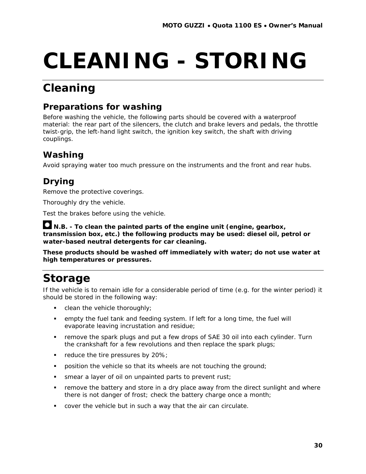# <span id="page-29-0"></span>**CLEANING - STORING**

# **Cleaning**

### **Preparations for washing**

Before washing the vehicle, the following parts should be covered with a waterproof material: the rear part of the silencers, the clutch and brake levers and pedals, the throttle twist-grip, the left-hand light switch, the ignition key switch, the shaft with driving couplings.

## **Washing**

Avoid spraying water too much pressure on the instruments and the front and rear hubs.

## **Drying**

Remove the protective coverings.

Thoroughly dry the vehicle.

Test the brakes before using the vehicle.

 **N.B. - To clean the painted parts of the engine unit (engine, gearbox, transmission box, etc.) the following products may be used: diesel oil, petrol or water-based neutral detergents for car cleaning.** 

**These products should be washed off immediately with water; do not use water at high temperatures or pressures.**

## **Storage**

If the vehicle is to remain idle for a considerable period of time (e.g. for the winter period) it should be stored in the following way:

- $\blacksquare$  clean the vehicle thoroughly;
- empty the fuel tank and feeding system. If left for a long time, the fuel will evaporate leaving incrustation and residue;
- remove the spark plugs and put a few drops of SAE 30 oil into each cylinder. Turn the crankshaft for a few revolutions and then replace the spark plugs;
- $\blacksquare$  reduce the tire pressures by 20%;
- **position the vehicle so that its wheels are not touching the ground;**
- **smear a layer of oil on unpainted parts to prevent rust;**
- **Fig.** remove the battery and store in a dry place away from the direct sunlight and where there is not danger of frost; check the battery charge once a month;
- cover the vehicle but in such a way that the air can circulate.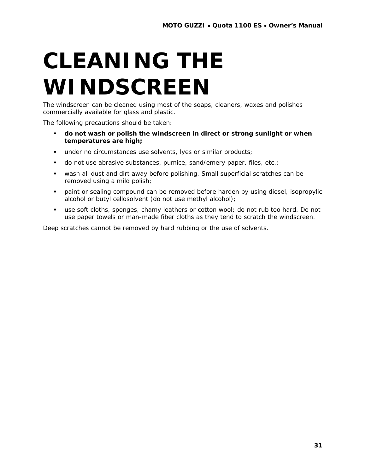# <span id="page-30-0"></span>**CLEANING THE WINDSCREEN**

The windscreen can be cleaned using most of the soaps, cleaners, waxes and polishes commercially available for glass and plastic.

The following precautions should be taken:

- **do not wash or polish the windscreen in direct or strong sunlight or when temperatures are high;**
- **under no circumstances use solvents, lyes or similar products;**
- do not use abrasive substances, pumice, sand/emery paper, files, etc.;
- wash all dust and dirt away before polishing. Small superficial scratches can be removed using a mild polish;
- paint or sealing compound can be removed before harden by using diesel, isopropylic alcohol or butyl cellosolvent (do not use methyl alcohol);
- use soft cloths, sponges, chamy leathers or cotton wool; do not rub too hard. Do not use paper towels or man-made fiber cloths as they tend to scratch the windscreen.

Deep scratches cannot be removed by hard rubbing or the use of solvents.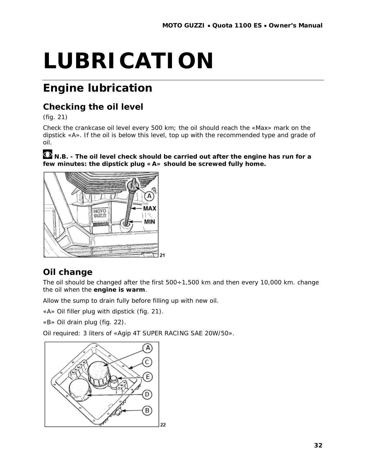# <span id="page-31-0"></span>**LUBRICATION**

## **Engine lubrication**

## **Checking the oil level**

(fig. 21)

Check the crankcase oil level every 500 km; the oil should reach the «Max» mark on the dipstick «A». If the oil is below this level, top up with the recommended type and grade of oil.

 **N.B. - The oil level check should be carried out after the engine has run for a few minutes: the dipstick plug «A» should be screwed fully home.**



## **Oil change**

The oil should be changed after the first 500÷1,500 km and then every 10,000 km. change the oil when the **engine is warm**.

Allow the sump to drain fully before filling up with new oil.

«A» Oil filler plug with dipstick (fig. 21).

«B» Oil drain plug (fig. 22).

Oil required: 3 liters of «Agip 4T SUPER RACING SAE 20W/50».

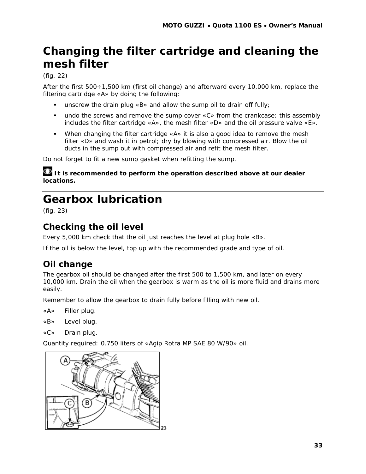## <span id="page-32-0"></span>**Changing the filter cartridge and cleaning the mesh filter**

(fig. 22)

After the first 500÷1,500 km (first oil change) and afterward every 10,000 km, replace the filtering cartridge «A» by doing the following:

- unscrew the drain plug «B» and allow the sump oil to drain off fully;
- undo the screws and remove the sump cover «C» from the crankcase: this assembly includes the filter cartridge «A», the mesh filter «D» and the oil pressure valve «E».
- When changing the filter cartridge  $\alpha A$ » it is also a good idea to remove the mesh filter «D» and wash it in petrol; dry by blowing with compressed air. Blow the oil ducts in the sump out with compressed air and refit the mesh filter.

Do not forget to fit a new sump gasket when refitting the sump.

 $\bullet$  **It is recommended to perform the operation described above at our dealer locations.**

## **Gearbox lubrication**

(fig. 23)

### **Checking the oil level**

Every 5,000 km check that the oil just reaches the level at plug hole «B».

If the oil is below the level, top up with the recommended grade and type of oil.

### **Oil change**

The gearbox oil should be changed after the first 500 to 1,500 km, and later on every 10,000 km. Drain the oil when the gearbox is warm as the oil is more fluid and drains more easily.

Remember to allow the gearbox to drain fully before filling with new oil.

«A» Filler plug.

«B» Level plug.

«C» Drain plug.

Quantity required: 0.750 liters of «Agip Rotra MP SAE 80 W/90» oil.

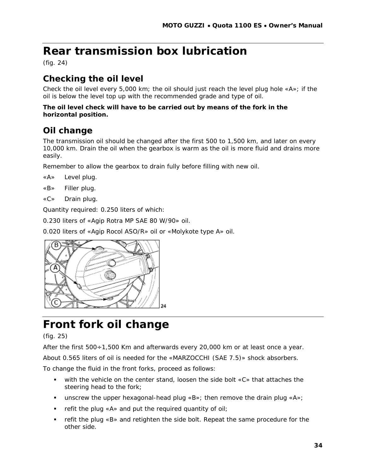## <span id="page-33-0"></span>**Rear transmission box lubrication**

(fig. 24)

## **Checking the oil level**

Check the oil level every 5,000 km; the oil should just reach the level plug hole «A»; if the oil is below the level top up with the recommended grade and type of oil.

#### **The oil level check will have to be carried out by means of the fork in the horizontal position.**

## **Oil change**

The transmission oil should be changed after the first 500 to 1,500 km, and later on every 10,000 km. Drain the oil when the gearbox is warm as the oil is more fluid and drains more easily.

Remember to allow the gearbox to drain fully before filling with new oil.

- «A» Level plug.
- «B» Filler plug.
- «C» Drain plug.

Quantity required: 0.250 liters of which:

0.230 liters of «Agip Rotra MP SAE 80 W/90» oil.

0.020 liters of «Agip Rocol ASO/R» oil or «Molykote type A» oil.



## **Front fork oil change**

(fig. 25)

After the first 500÷1,500 Km and afterwards every 20,000 km or at least once a year.

About 0.565 liters of oil is needed for the «MARZOCCHI (SAE 7.5)» shock absorbers.

To change the fluid in the front forks, proceed as follows:

- with the vehicle on the center stand, loosen the side bolt «C» that attaches the steering head to the fork;
- **unscrew the upper hexagonal-head plug «B»; then remove the drain plug «A»;**
- refit the plug «A» and put the required quantity of oil:
- For refit the plug  $\&$ B  $\&$  and retighten the side bolt. Repeat the same procedure for the other side.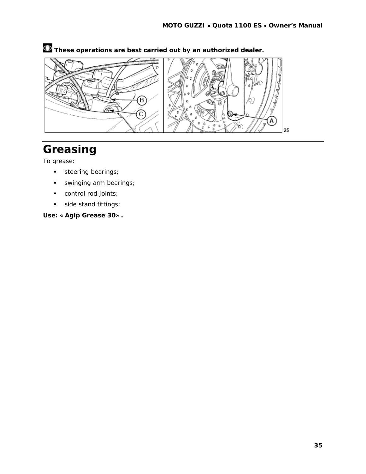

<span id="page-34-0"></span> **These operations are best carried out by an authorized dealer.**

## **Greasing**

To grease:

- **steering bearings;**
- swinging arm bearings;
- **control rod joints;**
- side stand fittings;

**Use: «Agip Grease 30».**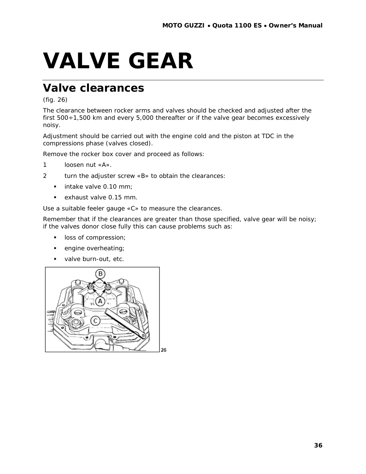# <span id="page-35-0"></span>**VALVE GEAR**

## **Valve clearances**

(fig. 26)

The clearance between rocker arms and valves should be checked and adjusted after the first 500÷1,500 km and every 5,000 thereafter or if the valve gear becomes excessively noisy.

Adjustment should be carried out with the engine cold and the piston at TDC in the compressions phase (valves closed).

Remove the rocker box cover and proceed as follows:

- 1 loosen nut «A».
- 2 turn the adjuster screw «B» to obtain the clearances:
	- **intake valve 0.10 mm;**
	- **exhaust valve 0.15 mm.**

Use a suitable feeler gauge «C» to measure the clearances.

Remember that if the clearances are greater than those specified, valve gear will be noisy; if the valves donor close fully this can cause problems such as:

- loss of compression;
- engine overheating;
- valve burn-out, etc.

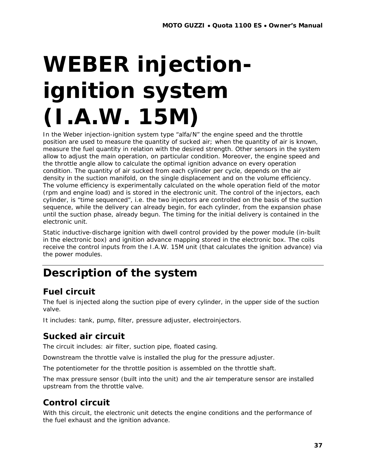# <span id="page-36-0"></span>**WEBER injectionignition system (I.A.W. 15M)**

In the Weber injection-ignition system type "alfa/N" the engine speed and the throttle position are used to measure the quantity of sucked air; when the quantity of air is known, measure the fuel quantity in relation with the desired strength. Other sensors in the system allow to adjust the main operation, on particular condition. Moreover, the engine speed and the throttle angle allow to calculate the optimal ignition advance on every operation condition. The quantity of air sucked from each cylinder per cycle, depends on the air density in the suction manifold, on the single displacement and on the volume efficiency. The volume efficiency is experimentally calculated on the whole operation field of the motor (rpm and engine load) and is stored in the electronic unit. The control of the injectors, each cylinder, is "time sequenced", i.e. the two injectors are controlled on the basis of the suction sequence, while the delivery can already begin, for each cylinder, from the expansion phase until the suction phase, already begun. The timing for the initial delivery is contained in the electronic unit.

Static inductive-discharge ignition with dwell control provided by the power module (in-built in the electronic box) and ignition advance mapping stored in the electronic box. The coils receive the control inputs from the I.A.W. 15M unit (that calculates the ignition advance) via the power modules.

# **Description of the system**

## **Fuel circuit**

The fuel is injected along the suction pipe of every cylinder, in the upper side of the suction valve.

It includes: tank, pump, filter, pressure adjuster, electroinjectors.

### **Sucked air circuit**

The circuit includes: air filter, suction pipe, floated casing.

Downstream the throttle valve is installed the plug for the pressure adjuster.

The potentiometer for the throttle position is assembled on the throttle shaft.

The max pressure sensor (built into the unit) and the air temperature sensor are installed upstream from the throttle valve.

## **Control circuit**

With this circuit, the electronic unit detects the engine conditions and the performance of the fuel exhaust and the ignition advance.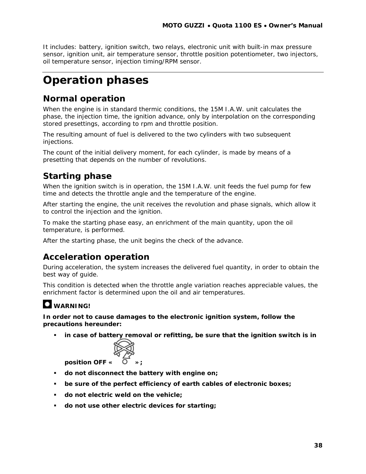<span id="page-37-0"></span>It includes: battery, ignition switch, two relays, electronic unit with built-in max pressure sensor, ignition unit, air temperature sensor, throttle position potentiometer, two injectors, oil temperature sensor, injection timing/RPM sensor.

# **Operation phases**

### **Normal operation**

When the engine is in standard thermic conditions, the 15M I.A.W. unit calculates the phase, the injection time, the ignition advance, only by interpolation on the corresponding stored presettings, according to rpm and throttle position.

The resulting amount of fuel is delivered to the two cylinders with two subsequent injections.

The count of the initial delivery moment, for each cylinder, is made by means of a presetting that depends on the number of revolutions.

### **Starting phase**

When the ignition switch is in operation, the 15M I.A.W. unit feeds the fuel pump for few time and detects the throttle angle and the temperature of the engine.

After starting the engine, the unit receives the revolution and phase signals, which allow it to control the injection and the ignition.

To make the starting phase easy, an enrichment of the main quantity, upon the oil temperature, is performed.

After the starting phase, the unit begins the check of the advance.

### **Acceleration operation**

During acceleration, the system increases the delivered fuel quantity, in order to obtain the best way of guide.

This condition is detected when the throttle angle variation reaches appreciable values, the enrichment factor is determined upon the oil and air temperatures.

## **WARNING!**

**In order not to cause damages to the electronic ignition system, follow the precautions hereunder:** 

**in case of battery removal or refitting, be sure that the ignition switch is in** 



**position OFF « »;** 

- **do not disconnect the battery with engine on;**
- **be sure of the perfect efficiency of earth cables of electronic boxes;**
- **do not electric weld on the vehicle;**
- **do not use other electric devices for starting;**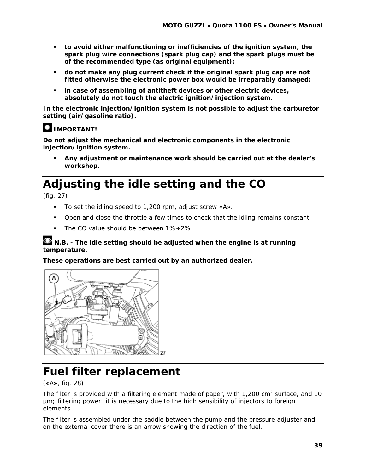- <span id="page-38-0"></span> **to avoid either malfunctioning or inefficiencies of the ignition system, the spark plug wire connections (spark plug cap) and the spark plugs must be of the recommended type (as original equipment);**
- **do not make any plug current check if the original spark plug cap are not fitted otherwise the electronic power box would be irreparably damaged;**
- **in case of assembling of antitheft devices or other electric devices, absolutely do not touch the electric ignition/injection system.**

**In the electronic injection/ignition system is not possible to adjust the carburetor setting (air/gasoline ratio).** 

### **IMPORTANT!**

**Do not adjust the mechanical and electronic components in the electronic injection/ignition system.** 

 **Any adjustment or maintenance work should be carried out at the dealer's workshop.**

# **Adjusting the idle setting and the CO**

(fig. 27)

- To set the idling speed to 1,200 rpm, adjust screw «A».
- Open and close the throttle a few times to check that the idling remains constant.
- The CO value should be between  $1\% \div 2\%$ .

#### **N.B. - The idle setting should be adjusted when the engine is at running temperature.**

**These operations are best carried out by an authorized dealer.**



## **Fuel filter replacement**

#### («A», fig. 28)

The filter is provided with a filtering element made of paper, with 1,200 cm<sup>2</sup> surface, and 10 µm; filtering power: it is necessary due to the high sensibility of injectors to foreign elements.

The filter is assembled under the saddle between the pump and the pressure adjuster and on the external cover there is an arrow showing the direction of the fuel.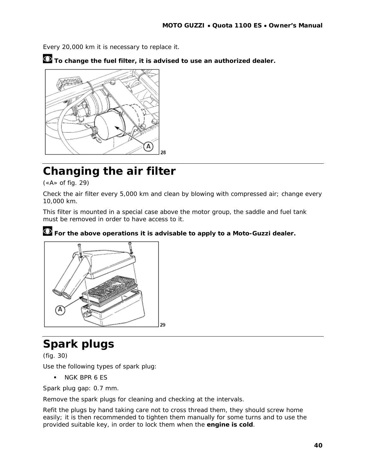<span id="page-39-0"></span>Every 20,000 km it is necessary to replace it.

 **To change the fuel filter, it is advised to use an authorized dealer.**



# **Changing the air filter**

 $(*A\ast of fig. 29)$ 

Check the air filter every 5,000 km and clean by blowing with compressed air; change every 10,000 km.

This filter is mounted in a special case above the motor group, the saddle and fuel tank must be removed in order to have access to it.

## **For the above operations it is advisable to apply to a Moto-Guzzi dealer.**



# **Spark plugs**

(fig. 30)

Use the following types of spark plug:

**NGK BPR 6 ES** 

Spark plug gap: 0.7 mm.

Remove the spark plugs for cleaning and checking at the intervals.

Refit the plugs by hand taking care not to cross thread them, they should screw home easily; it is then recommended to tighten them manually for some turns and to use the provided suitable key, in order to lock them when the **engine is cold**.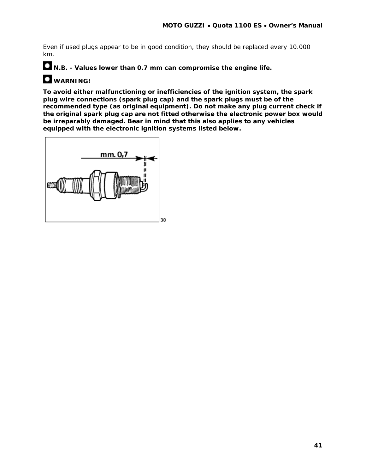Even if used plugs appear to be in good condition, they should be replaced every 10.000 km.

 **N.B. - Values lower than 0.7 mm can compromise the engine life.** 

### **WARNING!**

**To avoid either malfunctioning or inefficiencies of the ignition system, the spark plug wire connections (spark plug cap) and the spark plugs must be of the recommended type (as original equipment). Do not make any plug current check if the original spark plug cap are not fitted otherwise the electronic power box would be irreparably damaged. Bear in mind that this also applies to any vehicles equipped with the electronic ignition systems listed below.** 

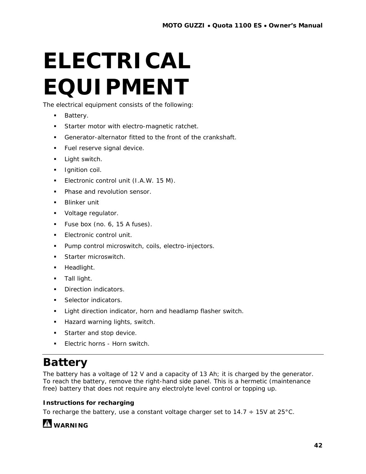# <span id="page-41-0"></span>**ELECTRICAL EQUIPMENT**

The electrical equipment consists of the following:

- **Battery.**
- **Starter motor with electro-magnetic ratchet.**
- Generator-alternator fitted to the front of the crankshaft.
- **Fuel reserve signal device.**
- **Light switch.**
- **Ignition coil.**
- **Electronic control unit (I.A.W. 15 M).**
- **Phase and revolution sensor.**
- **Blinker unit**
- **Voltage regulator.**
- Fuse box (no.  $6, 15$  A fuses).
- **Electronic control unit.**
- **Pump control microswitch, coils, electro-injectors.**
- **Starter microswitch.**
- **-** Headlight.
- **Tall light.**
- **Direction indicators.**
- **Selector indicators.**
- **EXECT** Light direction indicator, horn and headlamp flasher switch.
- **Hazard warning lights, switch.**
- Starter and stop device.
- **Electric horns Horn switch.**

## **Battery**

The battery has a voltage of 12 V and a capacity of 13 Ah; it is charged by the generator. To reach the battery, remove the right-hand side panel. This is a hermetic (maintenance free) battery that does not require any electrolyte level control or topping up.

#### **Instructions for recharging**

To recharge the battery, use a constant voltage charger set to  $14.7 \div 15V$  at  $25^{\circ}$ C.

 **WARNING**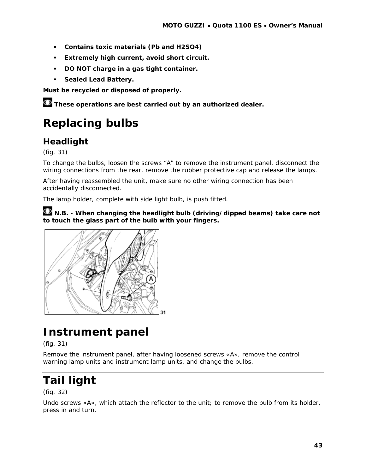- <span id="page-42-0"></span>**Contains toxic materials (Pb and H2SO4)**
- **Extremely high current, avoid short circuit.**
- **DO NOT charge in a gas tight container.**
- **Sealed Lead Battery.**

**Must be recycled or disposed of properly.** 

 **These operations are best carried out by an authorized dealer.**

# **Replacing bulbs**

### **Headlight**

(fig. 31)

To change the bulbs, loosen the screws "A" to remove the instrument panel, disconnect the wiring connections from the rear, remove the rubber protective cap and release the lamps.

After having reassembled the unit, make sure no other wiring connection has been accidentally disconnected.

The lamp holder, complete with side light bulb, is push fitted.

**N.B. - When changing the headlight bulb (driving/dipped beams) take care not to touch the glass part of the bulb with your fingers.** 



# **Instrument panel**

(fig. 31)

Remove the instrument panel, after having loosened screws «A», remove the control warning lamp units and instrument lamp units, and change the bulbs.

## **Tail light**

(fig. 32)

Undo screws «A», which attach the reflector to the unit; to remove the bulb from its holder, press in and turn.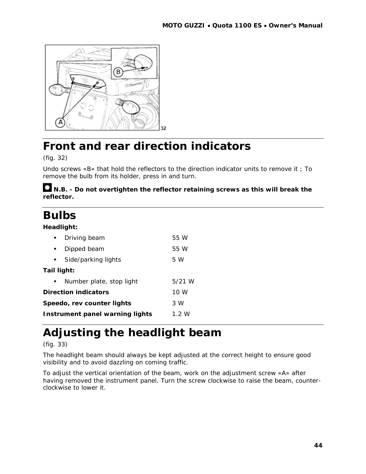<span id="page-43-0"></span>

# **Front and rear direction indicators**

(fig. 32)

Undo screws «B» that hold the reflectors to the direction indicator units to remove it ; To remove the bulb from its holder, press in and turn.

#### **N.B. - Do not overtighten the reflector retaining screws as this will break the reflector.**

## **Bulbs**

#### **Headlight:**

| 55 W   |
|--------|
| 55 W   |
| 5 W    |
|        |
| 5/21 W |
| 10 W   |
| 3 W    |
| 1.2 W  |
|        |

# **Adjusting the headlight beam**

#### (fig. 33)

The headlight beam should always be kept adjusted at the correct height to ensure good visibility and to avoid dazzling on coming traffic.

To adjust the vertical orientation of the beam, work on the adjustment screw «A» after having removed the instrument panel. Turn the screw clockwise to raise the beam, counterclockwise to lower it.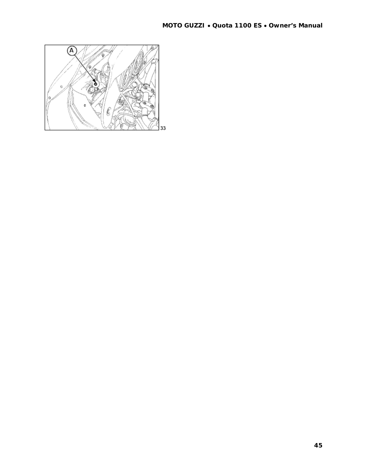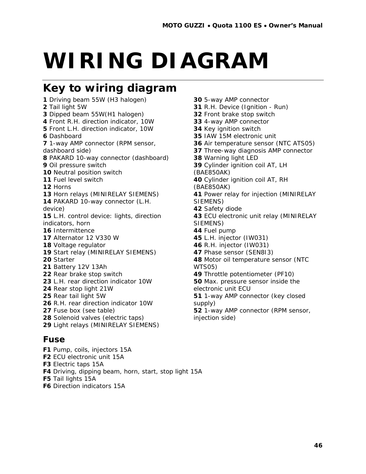# <span id="page-45-0"></span>**WIRING DIAGRAM**

## **Key to wiring diagram**

Driving beam 55W (H3 halogen) Tail light 5W Dipped beam 55W(H1 halogen) Front R.H. direction indicator, 10W Front L.H. direction indicator, 10W Dashboard 1-way AMP connector (RPM sensor, dashboard side) PAKARD 10-way connector (dashboard) Oil pressure switch Neutral position switch Fuel level switch Horns Horn relays (MINIRELAY SIEMENS) PAKARD 10-way connector (L.H. device) L.H. control device: lights, direction indicators, horn Intermittence Alternator 12 V330 W Voltage regulator Start relay (MINIRELAY SIEMENS) Starter Battery 12V 13Ah Rear brake stop switch L.H. rear direction indicator 10W Rear stop light 21W Rear tail light 5W R.H. rear direction indicator 10W Fuse box (see table) Solenoid valves (electric taps) Light relays (MINIRELAY SIEMENS)

### **Fuse**

**F1** Pump, coils, injectors 15A **F2** ECU electronic unit 15A **F3** Electric taps 15A **F4** Driving, dipping beam, horn, start, stop light 15A **F5** Tail lights 15A **F6** Direction indicators 15A

- 5-way AMP connector
- R.H. Device (Ignition Run)
- Front brake stop switch
- 4-way AMP connector
- Key ignition switch
- IAW 15M electronic unit
- Air temperature sensor (NTC ATS05)
- Three-way diagnosis AMP connector
- Warning light LED
- Cylinder ignition coil AT, LH
- (BAE850AK) Cylinder ignition coil AT, RH
	-
- (BAE850AK)
- Power relay for injection (MINIRELAY SIEMENS)
- Safety diode
- ECU electronic unit relay (MINIRELAY SIEMENS)
- Fuel pump
- L.H. injector (IW031)
- R.H. injector (IW031)
- Phase sensor (SEN8I3)
- Motor oil temperature sensor (NTC WTS05)
- Throttle potentiometer (PF10)
- Max. pressure sensor inside the electronic unit ECU

1-way AMP connector (key closed supply)

1-way AMP connector (RPM sensor, injection side)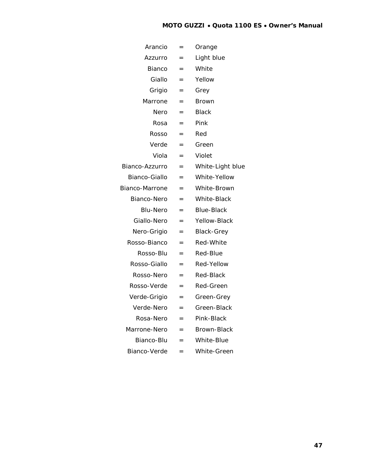#### **MOTO GUZZI** • **Quota 1100 ES** • **Owner's Manual**

| Arancio         | $=$ | Orange            |
|-----------------|-----|-------------------|
| Azzurro         |     | Light blue        |
| Bianco          | $=$ | White             |
| Giallo          | $=$ | Yellow            |
| Grigio          | =   | Grey              |
| Marrone         | $=$ | Brown             |
| Nero            | $=$ | Black             |
| Rosa            | =   | Pink              |
| Rosso           | =   | Red               |
| Verde           | $=$ | Green             |
| Viola           |     | Violet            |
| Bianco-Azzurro  | $=$ | White-Light blue  |
| Bianco-Giallo   | =   | White-Yellow      |
| Bianco-Marrone  | $=$ | White-Brown       |
| Bianco-Nero     | $=$ | White-Black       |
| <b>Blu-Nero</b> |     | Blue-Black        |
| Giallo-Nero     | $=$ | Yellow-Black      |
| Nero-Grigio     | $=$ | <b>Black-Grey</b> |
| Rosso-Bianco    | $=$ | Red-White         |
| Rosso-Blu       | =   | Red-Blue          |
| Rosso-Giallo    | $=$ | Red-Yellow        |
| Rosso-Nero      | =   | Red-Black         |
| Rosso-Verde     | $=$ | Red-Green         |
| Verde-Grigio    |     | Green-Grey        |
| Verde-Nero      | $=$ | Green-Black       |
| Rosa-Nero       |     | Pink-Black        |
| Marrone-Nero    | =   | Brown-Black       |
| Bianco-Blu      | $=$ | White-Blue        |
| Bianco-Verde    |     | White-Green       |